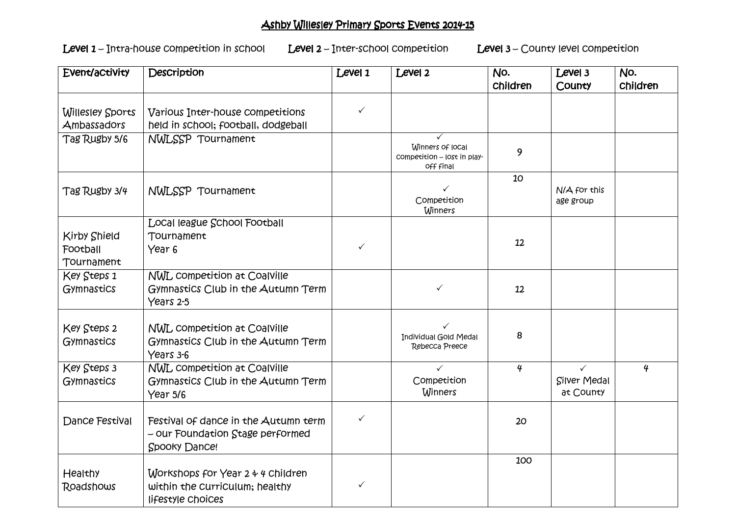## *Ashby Willesley Primary Sports Events 2014- Sports Events 2014-15*

*Level 1 – Intra-house competition in school Level 1 Level 2 – Inter-school competition Level 3 Level 2*

Level 2 – Inter-school competition Level 3 – County level competition

| Event/activity                                | Description                                                                               | Level 1      | Level 2                                                      | No.              | Level 3                                          | No.             |
|-----------------------------------------------|-------------------------------------------------------------------------------------------|--------------|--------------------------------------------------------------|------------------|--------------------------------------------------|-----------------|
|                                               |                                                                                           |              |                                                              | <b>Children</b>  | County                                           | <b>Children</b> |
| <b>Willesley Sports</b><br>Ambassadors        | Various Inter-house competitions<br>held in school; football, dodgeball                   | $\checkmark$ |                                                              |                  |                                                  |                 |
| Tag Rugby 5/6                                 | NWLSSP Tournament                                                                         |              | Winners of local<br>competition - lost in play-<br>off final | 9                |                                                  |                 |
| Tag Rugby 3/4                                 | NWLSSP Tournament                                                                         |              | $\checkmark$<br>Competition<br>Winners                       | 10               | N/A for this<br>age group                        |                 |
| <b>Kirby Shield</b><br>Football<br>Tournament | Local league School Football<br>Tournament<br>Year <sub>6</sub>                           | $\checkmark$ |                                                              | 12               |                                                  |                 |
| Key Steps 1<br>Gymnastics                     | NWL competition at Coalville<br>Gymnastics Club in the Autumn Term<br>Years 2-5           |              | $\checkmark$                                                 | 12               |                                                  |                 |
| Key Steps 2<br>Gymnastics                     | NWL competition at Coalville<br>Gymnastics Club in the Autumn Term<br>Years 3-6           |              | $\checkmark$<br>Individual Gold Medal<br>Rebecca Preece      | 8                |                                                  |                 |
| Key Steps 3<br>Gymnastics                     | NWL competition at Coalville<br>Gymnastics Club in the Autumn Term<br>Year 5/6            |              | $\checkmark$<br>Competition<br><b>Winners</b>                | $\boldsymbol{q}$ | $\checkmark$<br><b>Silver Medal</b><br>at County | $\overline{4}$  |
| Dance Festival                                | Festival of dance in the Autumn term<br>- our Foundation Stage performed<br>Spooky Dance! | $\checkmark$ |                                                              | 20               |                                                  |                 |
| <b>Healthy</b><br>Roadshows                   | Workshops for Year 2 4 4 Children<br>within the Curriculum; healthy<br>lifestyle Choices  | $\checkmark$ |                                                              | 100              |                                                  |                 |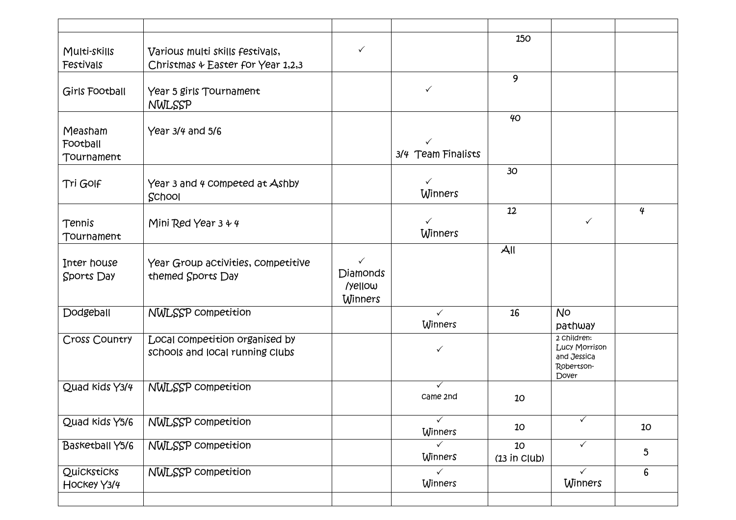| Multi-skills<br>Festivals         | Various multi skills festivals,<br>Christmas & Easter for Year 1,2,3 | $\checkmark$                                                 |                                | 150                  |                                                                           |                 |
|-----------------------------------|----------------------------------------------------------------------|--------------------------------------------------------------|--------------------------------|----------------------|---------------------------------------------------------------------------|-----------------|
| Girls Football                    | Year 5 girls Tournament<br>NWLSSP                                    |                                                              | $\checkmark$                   | 9                    |                                                                           |                 |
| Measham<br>Football<br>Tournament | Year 3/4 and 5/6                                                     |                                                              | 3/4 Team Finalists             | 40 <sup>°</sup>      |                                                                           |                 |
| Tri GOIF                          | Year 3 and 4 competed at Ashby<br>School                             |                                                              | ✓<br>Winners                   | 30                   |                                                                           |                 |
| Tennis<br>Tournament              | Mini Red Year $3 + 4$                                                |                                                              | $\checkmark$<br><b>Winners</b> | 12                   | $\checkmark$                                                              | $\overline{4}$  |
| Inter house<br>Sports Day         | Year Group activities, competitive<br>themed Sports Day              | $\checkmark$<br><b>Diamonds</b><br>/yellow<br><b>Winners</b> |                                | $A$ ll               |                                                                           |                 |
| Dodgeball                         | <b>NWLSSP</b> competition                                            |                                                              | $\checkmark$<br>Winners        | 16                   | <b>No</b><br>pathway                                                      |                 |
| Cross Country                     | Local competition organised by<br>schools and local running clubs    |                                                              | ✓                              |                      | 2 Children:<br><b>Lucy Morrison</b><br>and Jessica<br>Robertson-<br>Dover |                 |
| Quad Kids Y3/4                    | NWLSSP competition                                                   |                                                              | ✓<br>Came 2nd                  | 10                   |                                                                           |                 |
| Quad kids Y5/6                    | <b>NWLSSP</b> competition                                            |                                                              | $\checkmark$<br>Winners        | 10                   | ✓                                                                         | 10              |
| <b>Basketball Y5/6</b>            | <b>NWLSSP</b> competition                                            |                                                              | $\checkmark$<br>Winners        | 10<br>$(13$ in Club) | $\checkmark$                                                              | $\mathfrak{S}$  |
| Quicksticks<br>HOCKEY Y3/4        | NWLSSP competition                                                   |                                                              | $\checkmark$<br><b>Winners</b> |                      | $\checkmark$<br><b>Winners</b>                                            | $6\phantom{.}6$ |
|                                   |                                                                      |                                                              |                                |                      |                                                                           |                 |